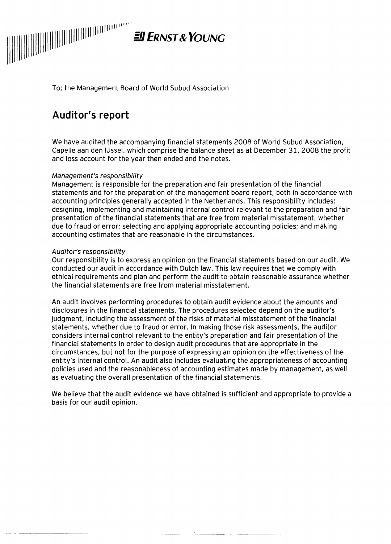

To: the Management Board of World Subud Association

# **Auditor's report**

We have audited the accompanying financial statements 2008 of World Subud Association, Capelle aan den Ijssel, which comprise the balance sheet as at December 31, 2008 the profit and loss account for the year then ended and the notes.

## Management's responsibility

Management is responsible for the preparation and fair presentation of the fjnancial statements and for the preparation of the management board report, both in accordance with accounting principles generally accepted in the Netherlands. This responsibility includes: designing, implementing and maintaining internal control relevant to the preparation and fair presentation of the financial statements that are free from material misstatement, whether due to fraud or error; selecting and applying appropriate accounting policies; and making accounting estimates that are reasonable in the circumstances.

## Auditor's responsibility

Our responsibility is to express an opinion on the financial statements based on our audit. We conducted our audit in accordance with Dutch law. This law requires that we comply with ethical requirements and plan and perform the audit to obtain reasonable assurance whether the financial statements are free from material misstatement.

An audit involves performing procedures to obtain audit evidence about the amounts and disclosures in the financial statements. The procedures selected depend on the auditor's judgment, including the assessment of the risks of material misstatement of the financial statements, whether due to fraud or error. In making those risk assessments, the auditor considers internal control relevant to the entity's preparation and fair presentation of the financial statements in order to design audit procedures that are appropriate in the circumstances, but not for the purpose of expressing an opinion on the effectiveness of the entity's internal control. An audit also inciudes evaluating the appropriateness of accounting policies used and the reasonableness of accounting estimates made by management, as weil as evaluating the overall presentation of the financial statements.

We believe that the audit evidence we have obtained is sufficient and appropriate to provide a basis for our audit opinion.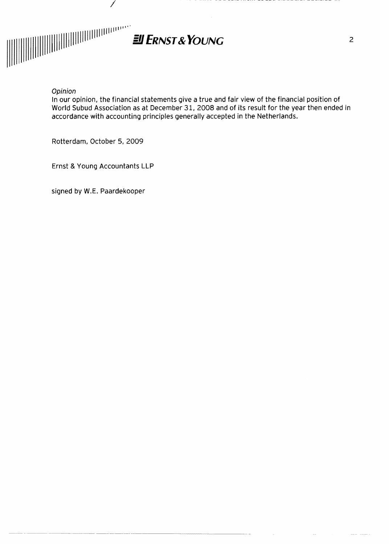

I

## Opinion

In our opinion, the financial statements give a true and fair view of the financial position of World Subud Association as at December 31,2008 and of its result for the year then ended in accordance with accounting principles generally accepted in the Netherlands.

Rotterdam, October 5, 2009

Ernst & Young Accountants LLP

signed by W.E. Paardekooper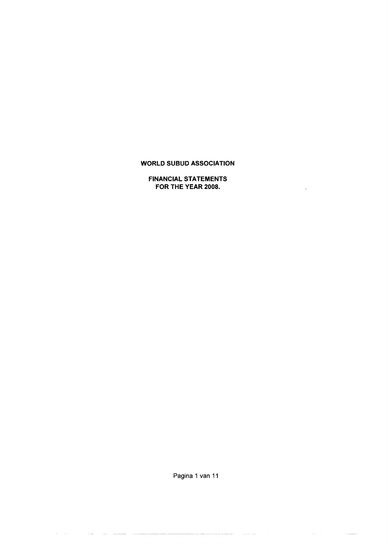#### **FINANClAL STATEMENTS FOR THE YEAR 2008.**

 $\overline{\phantom{a}}$ 

Pagina 1 van 11

 $\sim$   $\sim$  $\sim$   $\label{eq:1} \begin{aligned} \mathcal{L}_{\text{G}}(\mathcal{L}_{\text{G}}) = \mathcal{L}_{\text{G}}(\mathcal{L}_{\text{G}}) = \mathcal{L}_{\text{G}}(\mathcal{L}_{\text{G}}) \mathcal{L}_{\text{G}}(\mathcal{L}_{\text{G}}) = \mathcal{L}_{\text{G}}(\mathcal{L}_{\text{G}}) \mathcal{L}_{\text{G}}(\mathcal{L}_{\text{G}}) = \mathcal{L}_{\text{G}}(\mathcal{L}_{\text{G}}) \mathcal{L}_{\text{G}}(\mathcal{L}_{\text{G}}) = \mathcal{L}_{\text{G}}(\mathcal{L}_{\text$ 

 $\sim$   $\sim$   $\sim$ 

 $\label{eq:3.1} \mu = \nu \nu \mbox{, and we have}$  where  $\sigma = \nu \mbox{, and we have}$ 

 $\label{eq:1} \frac{1}{2} \int_{\mathbb{R}^d} \frac{1}{2} \int_{\mathbb{R}^d} \frac{1}{2} \int_{\mathbb{R}^d} \frac{1}{2} \int_{\mathbb{R}^d} \frac{1}{2} \int_{\mathbb{R}^d} \frac{1}{2} \int_{\mathbb{R}^d} \frac{1}{2} \int_{\mathbb{R}^d} \frac{1}{2} \int_{\mathbb{R}^d} \frac{1}{2} \int_{\mathbb{R}^d} \frac{1}{2} \int_{\mathbb{R}^d} \frac{1}{2} \int_{\mathbb{R}^d} \frac{1$ 

وسترات والمتعاونة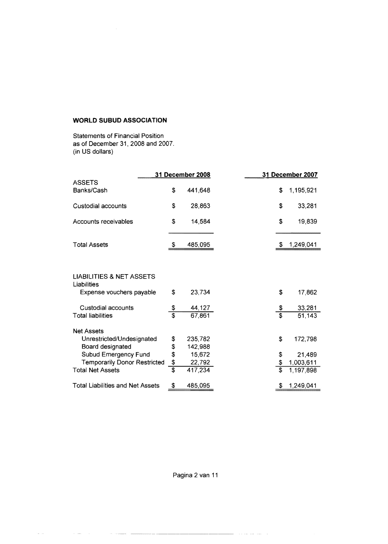$\bar{\nu}$ 

Statements of Financial Position as of December 31,2008 and 2007. (in US dollars)

 $\omega$  ,  $\omega$  .

 $\mathcal{L}_{\rm{in}}$ 

 $\overline{\phantom{a}}$ 

 $\label{eq:1} \frac{1}{\sqrt{2\pi}}\int_{0}^{1} \frac{1}{\sqrt{2\pi}}\int_{0}^{1} \frac{1}{\sqrt{2\pi}}\int_{0}^{1} \frac{1}{\sqrt{2\pi}}\int_{0}^{1} \frac{1}{\sqrt{2\pi}}\int_{0}^{1} \frac{1}{\sqrt{2\pi}}\int_{0}^{1} \frac{1}{\sqrt{2\pi}}\int_{0}^{1} \frac{1}{\sqrt{2\pi}}\int_{0}^{1} \frac{1}{\sqrt{2\pi}}\int_{0}^{1} \frac{1}{\sqrt{2\pi}}\int_{0}^{1} \frac{1}{\sqrt{2\pi}}\$ 

|                                         |               | 31 December 2008 | 31 December 2007 |           |  |  |  |  |  |
|-----------------------------------------|---------------|------------------|------------------|-----------|--|--|--|--|--|
| <b>ASSETS</b><br>Banks/Cash             | \$            | 441,648          | \$               | 1,195,921 |  |  |  |  |  |
| Custodial accounts                      | \$            | 28,863           | \$               | 33,281    |  |  |  |  |  |
| Accounts receivables                    | \$            | 14,584           | \$               | 19,839    |  |  |  |  |  |
| <b>Total Assets</b>                     | \$            | 485,095          | S                | 1,249,041 |  |  |  |  |  |
| <b>LIABILITIES &amp; NET ASSETS</b>     |               |                  |                  |           |  |  |  |  |  |
| Liabilities                             |               |                  |                  |           |  |  |  |  |  |
| Expense vouchers payable                | \$            | 23,734           | \$               | 17,862    |  |  |  |  |  |
| Custodial accounts                      | $\frac{3}{s}$ | 44,127           | \$               | 33,281    |  |  |  |  |  |
| <b>Total liabilities</b>                |               | 67,861           |                  | 51,143    |  |  |  |  |  |
| <b>Net Assets</b>                       |               |                  |                  |           |  |  |  |  |  |
| Unrestricted/Undesignated               | \$            | 235,782          | \$               | 172,798   |  |  |  |  |  |
| Board designated                        | \$            | 142,988          |                  |           |  |  |  |  |  |
| Subud Emergency Fund                    | \$            | 15,672           | \$               | 21,489    |  |  |  |  |  |
| <b>Temporarily Donor Restricted</b>     | $\frac{3}{5}$ | 22,792           | \$               | 1,003,611 |  |  |  |  |  |
| <b>Total Net Assets</b>                 |               | 417,234          |                  | 1,197,898 |  |  |  |  |  |
| <b>Total Liabilities and Net Assets</b> | \$            | 485,095          | \$               | 1,249,041 |  |  |  |  |  |

Pagina 2 van 11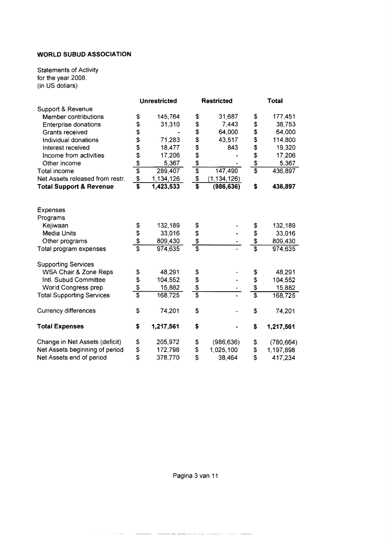Statements of Activity for the year 2008, (in US dollars)

|                                    | <b>Unrestricted</b>                       |           |                                 | <b>Restricted</b> | <b>Total</b>  |            |  |  |
|------------------------------------|-------------------------------------------|-----------|---------------------------------|-------------------|---------------|------------|--|--|
| Support & Revenue                  |                                           |           |                                 |                   |               |            |  |  |
| Member contributions               | \$                                        | 145,764   | \$                              | 31,687            | \$            | 177,451    |  |  |
| <b>Enterprise donations</b>        | \$                                        | 31,310    | \$                              | 7,443             | \$            | 38,753     |  |  |
| <b>Grants received</b>             | \$                                        |           | \$                              | 64,000            | \$            | 64,000     |  |  |
| Individual donations               | \$                                        | 71,283    |                                 | 43,517            | \$            | 114,800    |  |  |
| Interest received                  |                                           | 18,477    |                                 | 843               |               | 19,320     |  |  |
| Income from activities             | $\frac{1}{2}$ $\frac{1}{2}$ $\frac{1}{2}$ | 17,206    | $\frac{\omega}{2}$ and $\omega$ |                   | \$            | 17,206     |  |  |
| Other income                       |                                           | 5,367     |                                 |                   | $\frac{3}{3}$ | 5,367      |  |  |
| Total income                       |                                           | 289,407   |                                 | 147,490           |               | 436,897    |  |  |
| Net Assets released from restr.    | \$                                        | 1,134,126 | $\frac{3}{5}$                   | (1, 134, 126)     |               |            |  |  |
| <b>Total Support &amp; Revenue</b> |                                           | 1,423,533 |                                 | (986, 636)        | \$            | 436,897    |  |  |
| <b>Expenses</b>                    |                                           |           |                                 |                   |               |            |  |  |
| Programs                           |                                           |           |                                 |                   |               |            |  |  |
| Kejiwaan                           |                                           | 132,189   | \$                              |                   | \$            | 132,189    |  |  |
| Media Units                        |                                           | 33,016    |                                 |                   | \$            | 33,016     |  |  |
| Other programs                     | မှ မှ မှ မှ                               | 809,430   | $\frac{6}{3}$                   |                   | $\frac{3}{5}$ | 809,430    |  |  |
| Total program expenses             |                                           | 974,635   |                                 |                   |               | 974,635    |  |  |
| <b>Supporting Services</b>         |                                           |           |                                 |                   |               |            |  |  |
| WSA Chair & Zone Reps              | \$<br>\$                                  | 48,291    |                                 |                   | \$            | 48,291     |  |  |
| Intl. Subud Committee              |                                           | 104,552   | \$\$\$\$                        |                   | \$            | 104,552    |  |  |
| World Congress prep.               | $\frac{3}{3}$                             | 15,882    |                                 |                   | $\frac{1}{2}$ | 15,882     |  |  |
| <b>Total Supporting Services</b>   |                                           | 168,725   |                                 |                   |               | 168,725    |  |  |
| <b>Currency differences</b>        | \$                                        | 74,201    | \$                              |                   | \$            | 74,201     |  |  |
| <b>Total Expenses</b>              | \$                                        | 1,217,561 | \$                              |                   | \$            | 1,217,561  |  |  |
| Change in Net Assets (deficit)     | \$                                        | 205,972   | \$                              | (986, 636)        | \$            | (780, 664) |  |  |
| Net Assets beginning of period     | \$                                        | 172,798   | \$                              | 1,025,100         | \$            | 1,197,898  |  |  |
| Net Assets end of period           | \$                                        | 378,770   | \$                              | 38,464            | \$            | 417,234    |  |  |

Pagina 3 van 11

 $\overline{\phantom{a}}$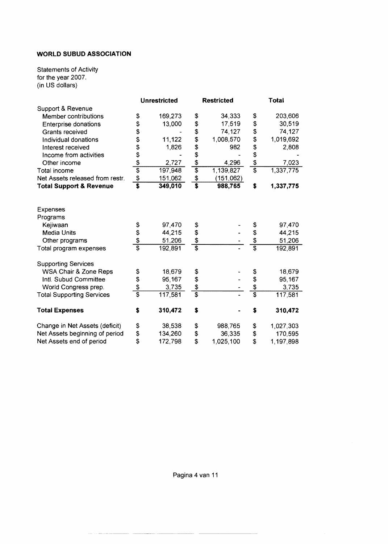Statements of Activity for the year 2007. (in US dollars)

|                                    |                       | <b>Unrestricted</b> | <b>Restricted</b> |               | Total     |
|------------------------------------|-----------------------|---------------------|-------------------|---------------|-----------|
| Support & Revenue                  |                       |                     |                   |               |           |
| <b>Member contributions</b>        | \$                    | 169,273             | \$<br>34,333      | \$            | 203,606   |
| <b>Enterprise donations</b>        |                       | 13,000              | \$<br>17,519      | \$            | 30,519    |
| Grants received                    |                       |                     | \$<br>74,127      | \$            | 74,127    |
| Individual donations               |                       | 11,122              | \$<br>1,008,570   | \$            | 1,019,692 |
| Interest received                  |                       | 1,826               | 982               | \$<br>\$      | 2,808     |
| Income from activities             |                       |                     | \$                |               |           |
| Other income                       | 8 8 9 9 9 9 9 9 9 9 9 | 2,727               | \$<br>4,296       | \$            | 7,023     |
| Total income                       |                       | 197,948             | 1,139,827         |               | 1,337,775 |
| Net Assets released from restr.    |                       | 151,062             | \$<br>(151,062)   |               |           |
| <b>Total Support &amp; Revenue</b> |                       | 349,010             | \$<br>988,765     | \$            | 1,337,775 |
|                                    |                       |                     |                   |               |           |
| <b>Expenses</b>                    |                       |                     |                   |               |           |
| Programs                           |                       |                     |                   |               |           |
| Kejiwaan                           |                       | 97,470              | \$                | \$            | 97,470    |
| <b>Media Units</b>                 |                       | 44,215              | \$                | \$            | 44,215    |
| Other programs                     | \$\$\$\$              | 51,206              | \$                | $\frac{3}{5}$ | 51,206    |
| Total program expenses             |                       | 192,891             |                   |               | 192,891   |
| <b>Supporting Services</b>         |                       |                     |                   |               |           |
| WSA Chair & Zone Reps              |                       | 18,679              | \$                | \$            | 18,679    |
| Intl. Subud Committee              |                       | 95,167              | \$                | \$            | 95,167    |
| World Congress prep.               | \$\$\$\$              | 3,735               | \$                | $rac{3}{3}$   | 3,735     |
| <b>Total Supporting Services</b>   |                       | 117,581             |                   |               | 117,581   |
| <b>Total Expenses</b>              | \$                    | 310,472             | \$                | \$            | 310,472   |
| Change in Net Assets (deficit)     | \$                    | 38,538              | \$<br>988,765     | \$            | 1,027,303 |
| Net Assets beginning of period     | \$                    | 134,260             | \$<br>36,335      | \$            | 170,595   |
| Net Assets end of period           |                       | 172,798             | \$<br>1,025,100   | \$            | 1,197,898 |

i.

 $\sim$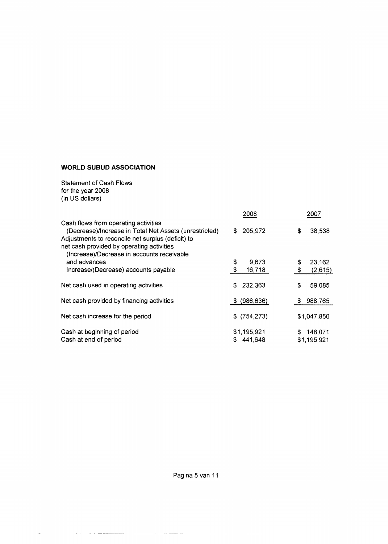Statement of Cash Flows for the year 2008 (in US dollars)

|                                                                                                                                                                                                                                                | 2008                         | 2007                          |
|------------------------------------------------------------------------------------------------------------------------------------------------------------------------------------------------------------------------------------------------|------------------------------|-------------------------------|
| Cash flows from operating activities<br>(Decrease)/Increase in Total Net Assets (unrestricted)<br>Adjustments to reconcile net surplus (deficit) to<br>net cash provided by operating activities<br>(Increase)/Decrease in accounts receivable | 205,972<br>s.                | 38,538<br>\$                  |
| and advances<br>Increase/(Decrease) accounts payable                                                                                                                                                                                           | \$<br>9,673<br>\$<br>16,718  | 23,162<br>\$<br>\$<br>(2,615) |
| Net cash used in operating activities                                                                                                                                                                                                          | 232,363<br>S.                | \$<br>59,085                  |
| Net cash provided by financing activities                                                                                                                                                                                                      | \$ (986, 636)                | 988,765<br>S                  |
| Net cash increase for the period                                                                                                                                                                                                               | $$$ (754,273)                | \$1,047,850                   |
| Cash at beginning of period<br>Cash at end of period                                                                                                                                                                                           | \$1,195,921<br>441,648<br>S. | 148,071<br>S<br>\$1,195,921   |

Pagina 5 van 11

 $\label{eq:1} \begin{aligned} \text{where}&\quad \mathcal{L}^{\text{max}}(x) = \mathcal{L}^{\text{max}}(x) \text{ and } \quad \mathcal{L}^{\text{max}}(x) = \mathcal{L}^{\text{max}}(x) \text{ and } \quad \mathcal{L}^{\text{max}}(x) = \mathcal{L}^{\text{max}}(x) \text{ and } \quad \mathcal{L}^{\text{max}}(x) = \mathcal{L}^{\text{max}}(x) \text{ and } \quad \mathcal{L}^{\text{max}}(x) = \mathcal{L}^{\text{max}}(x) \text{ and } \quad \mathcal{L}^{\text{max$ 

 $\sim$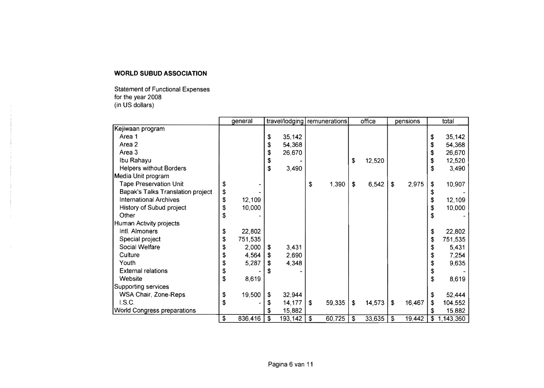Statement of Functional Expenses for the year 2008 US dollars)

 $\sim 10^6$ 

|                                    |    | general |    |         | travel/lodging remunerations |                           | office |                | pensions |    | total       |
|------------------------------------|----|---------|----|---------|------------------------------|---------------------------|--------|----------------|----------|----|-------------|
| Kejiwaan program                   |    |         |    |         |                              |                           |        |                |          |    |             |
| Area 1                             |    |         | \$ | 35,142  |                              |                           |        |                |          | \$ | 35,142      |
| Area 2                             |    |         | \$ | 54,368  |                              |                           |        |                |          |    | 54,368      |
| Area 3                             |    |         | \$ | 26,670  |                              |                           |        |                |          |    | 26,670      |
| Ibu Rahayu                         |    |         | \$ |         |                              | \$                        | 12,520 |                |          | \$ | 12,520      |
| <b>Helpers without Borders</b>     |    |         | \$ | 3,490   |                              |                           |        |                |          | \$ | 3,490       |
| Media Unit program                 |    |         |    |         |                              |                           |        |                |          |    |             |
| <b>Tape Preservation Unit</b>      | \$ |         |    |         | \$<br>1,390                  | \$                        | 6,542  | \$             | 2,975    | \$ | 10,907      |
| Bapak's Talks Translation project  | \$ |         |    |         |                              |                           |        |                |          |    |             |
| <b>International Archives</b>      | \$ | 12,109  |    |         |                              |                           |        |                |          |    | 12,109      |
| History of Subud project           | \$ | 10,000  |    |         |                              |                           |        |                |          |    | 10,000      |
| Other                              | \$ |         |    |         |                              |                           |        |                |          |    |             |
| Human Activity projects            |    |         |    |         |                              |                           |        |                |          |    |             |
| Intl. Almoners                     | \$ | 22,802  |    |         |                              |                           |        |                |          | S  | 22,802      |
| Special project                    | \$ | 751,535 |    |         |                              |                           |        |                |          | \$ | 751,535     |
| Social Welfare                     | S  | 2,000   | S  | 3,431   |                              |                           |        |                |          | S  | 5,431       |
| Culture                            |    | 4,564   | S  | 2,690   |                              |                           |        |                |          | S  | 7,254       |
| Youth                              |    | 5,287   |    | 4,348   |                              |                           |        |                |          | \$ | 9,635       |
| <b>External relations</b>          | \$ |         |    |         |                              |                           |        |                |          | S  |             |
| Website                            | \$ | 8,619   |    |         |                              |                           |        |                |          | S  | 8,619       |
| Supporting services                |    |         |    |         |                              |                           |        |                |          |    |             |
| <b>WSA Chair, Zone-Reps</b>        | \$ | 19,500  | \$ | 32,944  |                              |                           |        |                |          |    | 52,444      |
| I.S.C.                             | \$ |         |    | 14,177  | \$<br>59,335                 | $\boldsymbol{\mathsf{s}}$ | 14,573 | $\sqrt{2}$     | 16,467   | \$ | 104,552     |
| <b>World Congress preparations</b> |    |         |    | 15,882  |                              |                           |        |                |          | S  | 15,882      |
|                                    | \$ | 836,416 | \$ | 193,142 | \$<br>60,725                 | \$                        | 33,635 | $\mathfrak{S}$ | 19,442   |    | \$1,143,360 |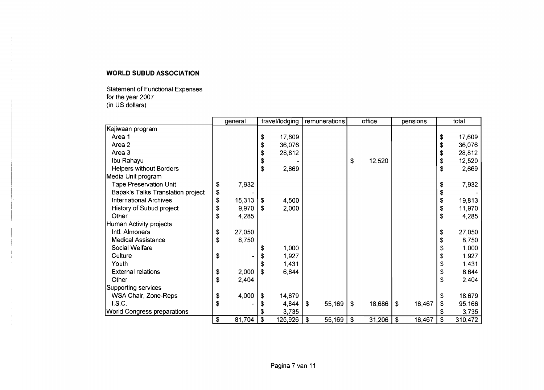$\mathbf{r}$ 

÷

÷

- 6

 $\sim 10^{-1}$ 

 $\langle \Psi \rangle$ 

Statement of Functional Expenses for the year 2007 (in US dollars)

|                                   | general      | travel/lodging | remunerations | office       | pensions     |    | total   |
|-----------------------------------|--------------|----------------|---------------|--------------|--------------|----|---------|
| Kejiwaan program                  |              |                |               |              |              |    |         |
| Area 1                            |              | \$<br>17,609   |               |              |              | \$ | 17,609  |
| Area 2                            |              | 36,076         |               |              |              | S  | 36,076  |
| Area 3                            |              | 28,812         |               |              |              |    | 28,812  |
| Ibu Rahayu                        |              |                |               | \$<br>12,520 |              | \$ | 12,520  |
| <b>Helpers without Borders</b>    |              | \$<br>2,669    |               |              |              | \$ | 2,669   |
| Media Unit program                |              |                |               |              |              |    |         |
| <b>Tape Preservation Unit</b>     | \$<br>7,932  |                |               |              |              | \$ | 7,932   |
| Bapak's Talks Translation project | \$           |                |               |              |              |    |         |
| <b>International Archives</b>     | \$<br>15,313 | \$<br>4,500    |               |              |              | \$ | 19,813  |
| History of Subud project          | \$<br>9,970  | \$<br>2,000    |               |              |              | \$ | 11,970  |
| Other                             | \$<br>4,285  |                |               |              |              | \$ | 4,285   |
| Human Activity projects           |              |                |               |              |              |    |         |
| Intl. Almoners                    | \$<br>27,050 |                |               |              |              | \$ | 27,050  |
| <b>Medical Assistance</b>         | \$<br>8,750  |                |               |              |              |    | 8,750   |
| Social Welfare                    |              | 1,000          |               |              |              |    | 1,000   |
| Culture                           | \$           | 1,927          |               |              |              |    | 1,927   |
| Youth                             |              | 1,431          |               |              |              | S  | 1,431   |
| <b>External relations</b>         | \$<br>2,000  | \$<br>6,644    |               |              |              | \$ | 8,644   |
| Other                             | \$<br>2,404  |                |               |              |              | S  | 2,404   |
| Supporting services               |              |                |               |              |              |    |         |
| <b>WSA Chair, Zone-Reps</b>       | \$<br>4,000  | \$<br>14,679   |               |              |              |    | 18,679  |
| LS.C.                             | \$           | 4,844          | 55,169<br>\$. | \$<br>18,686 | \$<br>16,467 |    | 95,166  |
| World Congress preparations       |              | 3,735          |               |              |              |    | 3,735   |
|                                   | \$<br>81,704 | \$<br>125,926  | 55,169<br>\$  | 31,206<br>\$ | 16,467<br>\$ | \$ | 310,472 |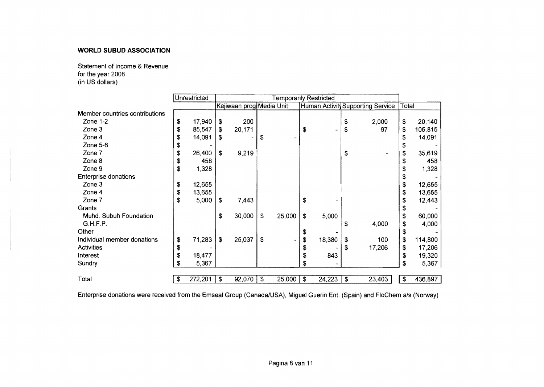Statement of Income & Revenue for the year 2008 (in US dollars)

|                                |    | Unrestricted |    |                          |    | <b>Temporarily Restricted</b> |              |                                   |       |         |
|--------------------------------|----|--------------|----|--------------------------|----|-------------------------------|--------------|-----------------------------------|-------|---------|
|                                |    |              |    | Kejiwaan prog Media Unit |    |                               |              | Human Activity Supporting Service | Total |         |
| Member countries contributions |    |              |    |                          |    |                               |              |                                   |       |         |
| Zone 1-2                       | \$ | 17,940       | \$ | 200                      |    |                               |              | \$<br>2,000                       | \$    | 20,140  |
| Zone 3                         | \$ | 85,547       | \$ | 20,171                   |    |                               | \$           | \$<br>97                          | \$    | 105,815 |
| Zone 4                         | S  | 14,091       | S  |                          | s  |                               |              |                                   |       | 14,091  |
| Zone $5-6$                     | S  |              |    |                          |    |                               |              |                                   | S     |         |
| Zone 7                         | \$ | 26,400       | S. | 9,219                    |    |                               |              | \$                                | \$    | 35,619  |
| Zone 8                         | \$ | 458          |    |                          |    |                               |              |                                   | \$    | 458     |
| Zone 9                         | \$ | 1,328        |    |                          |    |                               |              |                                   | S     | 1,328   |
| <b>Enterprise donations</b>    |    |              |    |                          |    |                               |              |                                   |       |         |
| Zone 3                         | \$ | 12,655       |    |                          |    |                               |              |                                   | \$    | 12,655  |
| Zone 4                         | \$ | 13,655       |    |                          |    |                               |              |                                   | \$    | 13,655  |
| Zone 7                         | \$ | 5,000        | \$ | 7,443                    |    |                               | \$           |                                   | \$    | 12,443  |
| Grants                         |    |              |    |                          |    |                               |              |                                   | \$    |         |
| Muhd. Subuh Foundation         |    |              | \$ | 30,000                   | \$ | 25,000                        | \$<br>5,000  |                                   | \$    | 60,000  |
| G.H.F.P.                       |    |              |    |                          |    |                               |              | \$<br>4,000                       | \$    | 4,000   |
| Other                          |    |              |    |                          |    |                               |              |                                   | \$    |         |
| Individual member donations    | \$ | 71,283       | \$ | 25,037                   | \$ |                               | \$<br>18,380 | \$<br>100                         | \$    | 114,800 |
| <b>Activities</b>              | \$ |              |    |                          |    |                               |              | \$<br>17,206                      | \$    | 17,206  |
| Interest                       | S  | 18,477       |    |                          |    |                               | 843          |                                   | \$    | 19,320  |
| Sundry                         | S  | 5,367        |    |                          |    |                               |              |                                   | \$    | 5,367   |
|                                |    |              |    |                          |    |                               |              |                                   |       |         |
| Total                          | \$ | 272,201      | \$ | 92,070                   | \$ | 25,000                        | \$<br>24,223 | \$<br>23,403                      | \$    | 436,897 |

Enterprise donations were received from the Emseal Group (Canada/USA), Miguel Guerin Ent. (Spain) and FloChem als (Norway)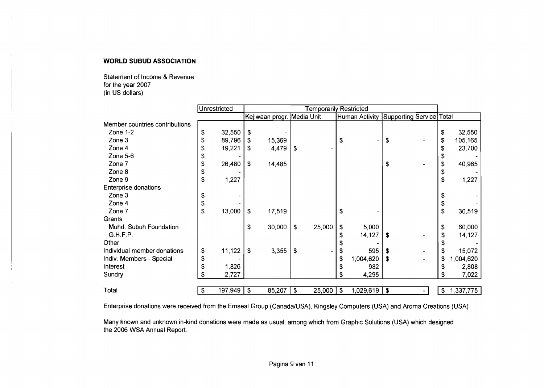÷

Statement of Income & Revenue for the year 2007 (in US dollars)

|                                |    | <b>Unrestricted</b> |    | <b>Temporarily Restricted</b> |                           |        |    |                       |                          |  |    |           |
|--------------------------------|----|---------------------|----|-------------------------------|---------------------------|--------|----|-----------------------|--------------------------|--|----|-----------|
|                                |    |                     |    | Kejiwaan progr. Media Unit    |                           |        |    | <b>Human Activity</b> | Supporting Service Total |  |    |           |
| Member countries contributions |    |                     |    |                               |                           |        |    |                       |                          |  |    |           |
| Zone 1-2                       | \$ | 32,550              | \$ |                               |                           |        |    |                       |                          |  | \$ | 32,550    |
| Zone 3                         | \$ | 89,796              | \$ | 15,369                        |                           |        | \$ |                       | \$                       |  | \$ | 105,165   |
| Zone 4                         | S  | 19,221              | S  | 4,479                         | S                         |        |    |                       |                          |  |    | 23,700    |
| Zone 5-6                       | \$ |                     |    |                               |                           |        |    |                       |                          |  |    |           |
| Zone 7                         | \$ | 26,480              | \$ | 14,485                        |                           |        |    |                       | \$                       |  |    | 40,965    |
| Zone 8                         | \$ |                     |    |                               |                           |        |    |                       |                          |  |    |           |
| Zone 9                         | \$ | 1,227               |    |                               |                           |        |    |                       |                          |  | \$ | 1,227     |
| <b>Enterprise donations</b>    |    |                     |    |                               |                           |        |    |                       |                          |  |    |           |
| Zone 3                         | \$ |                     |    |                               |                           |        |    |                       |                          |  |    |           |
| Zone 4                         | \$ |                     |    |                               |                           |        |    |                       |                          |  |    |           |
| Zone 7                         | \$ | 13,000              | \$ | 17,519                        |                           |        | \$ |                       |                          |  | \$ | 30,519    |
| Grants                         |    |                     |    |                               |                           |        |    |                       |                          |  |    |           |
| Muhd. Subuh Foundation         |    |                     | \$ | 30,000                        | S                         | 25,000 | \$ | 5,000                 |                          |  | \$ | 60,000    |
| G.H.F.P.                       |    |                     |    |                               |                           |        |    | 14,127                | -S                       |  |    | 14,127    |
| Other                          |    |                     |    |                               |                           |        |    |                       |                          |  |    |           |
| Individual member donations    | \$ | 11,122              | \$ | 3,355                         | \$                        |        | \$ | 595                   | S                        |  | \$ | 15,072    |
| Indiv. Members - Special       | \$ |                     |    |                               |                           |        | \$ | 1,004,620             | S.                       |  | \$ | 1,004,620 |
| Interest                       | \$ | 1,826               |    |                               |                           |        |    | 982                   |                          |  | \$ | 2,808     |
| Sundry                         | \$ | 2,727               |    |                               |                           |        |    | 4,295                 |                          |  |    | 7,022     |
|                                |    |                     |    |                               |                           |        |    |                       |                          |  |    |           |
| Total                          | \$ | 197,949             | \$ | 85,207                        | $\boldsymbol{\mathsf{s}}$ | 25,000 | \$ | 1,029,619             | -\$                      |  | \$ | 1,337,775 |

Enterprise donations were received from the Emseal Group (Canada/USA), Kingsley Computers (USA) and Aroma Creations (USA)

Many known and unknown in-kind donations were made as usual, among which from Graphic Solutions (USA) which designed the 2006 WSA Annual Report.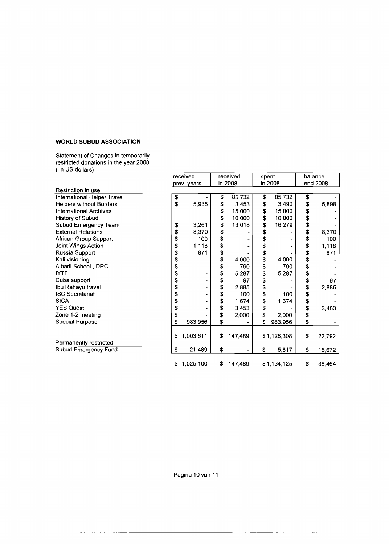Statement of Changes in temporarily restricted donations in the year 2008 ( in US dollars)

<u>المستقطعين المرادين المرا</u>

 $\sim 100$  km  $^{-1}$  .

|                                    | received        | received      | spent |             | balance        |          |  |
|------------------------------------|-----------------|---------------|-------|-------------|----------------|----------|--|
|                                    | prev. years     | in 2008       |       | in 2008     |                | end 2008 |  |
| Restriction in use:                |                 |               |       |             |                |          |  |
| <b>International Helper Travel</b> | \$              | \$<br>85,732  | \$    | 85,732      | \$             |          |  |
| <b>Helpers without Borders</b>     | \$<br>5,935     | \$<br>3,453   | \$    | 3,490       | \$             | 5,898    |  |
| International Archives             |                 | \$<br>15,000  | \$    | 15,000      | \$             |          |  |
| History of Subud                   |                 | \$<br>10,000  | \$    | 10,000      | \$             |          |  |
| Subud Emergency Team               | \$<br>3,261     | \$<br>13,018  | \$    | 16,279      | \$             |          |  |
| <b>External Relations</b>          | \$<br>8,370     | \$            | \$    |             | \$             | 8,370    |  |
| African Group Support              | \$<br>100       | \$            | \$    |             | \$<br>\$       | 100      |  |
| Joint Wings Action                 | \$<br>1,118     | \$            | \$    |             |                | 1,118    |  |
| Russia Support                     | \$<br>871       | \$            | \$    |             | \$             | 871      |  |
| Kali visioning                     | \$              | \$<br>4,000   | \$    | 4,000       | \$             |          |  |
| Albadi School, DRC                 | \$              | \$<br>790     | \$    | 790         |                |          |  |
| <b>IYTF</b>                        | \$              | \$<br>5,287   | \$    | 5,287       |                |          |  |
| Cuba support                       | \$              | \$<br>97      | \$    |             |                | 97       |  |
| Ibu Rahayu travel                  | \$              | \$<br>2,885   | \$    |             |                | 2,885    |  |
| <b>ISC Secretariat</b>             | \$              | \$<br>100     | \$    | 100         |                |          |  |
| <b>SICA</b>                        | \$              | \$<br>1,674   | \$    | 1,674       |                |          |  |
| <b>YES Quest</b>                   | \$              | \$<br>3,453   | \$    |             | \$\$\$\$\$\$\$ | 3,453    |  |
| Zone 1-2 meeting                   | \$              | \$<br>2,000   | \$    | 2,000       | \$             |          |  |
| <b>Special Purpose</b>             | \$<br>983,956   | \$            | \$    | 983,956     | \$             |          |  |
|                                    |                 |               |       |             |                |          |  |
|                                    | \$<br>1,003,611 | \$<br>147,489 |       | \$1,128,308 | \$             | 22,792   |  |
| Permanently restricted             |                 |               |       |             |                |          |  |
| Subud Emergency Fund               | \$<br>21,489    | \$            | \$    | 5,817       | \$             | 15,672   |  |
|                                    | \$<br>1,025,100 | \$<br>147,489 |       | \$1,134,125 | \$             | 38,464   |  |

 $\sim$  .  $\sim$ 

 $\overline{a}$ 

 $\sim$   $\sim$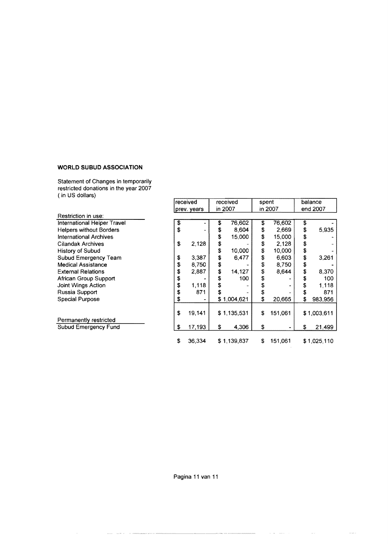Statement of Changes in temporarily restricted donations in the year 2007 ( in US dOllars)

|                                | received                |             | received |             | spent |         | balance |             |  |
|--------------------------------|-------------------------|-------------|----------|-------------|-------|---------|---------|-------------|--|
|                                |                         | prev. years |          | in 2007     |       | in 2007 |         | end 2007    |  |
| Restriction in use:            |                         |             |          |             |       |         |         |             |  |
| International Helper Travel    | $\overline{\mathbf{3}}$ |             | \$       | 76,602      | \$    | 76,602  | \$      |             |  |
| <b>Helpers without Borders</b> | \$                      |             |          | 8,604       | \$    | 2.669   | \$      | 5,935       |  |
| <b>International Archives</b>  |                         |             | \$       | 15,000      | \$    | 15,000  | \$      |             |  |
| <b>Cilandak Archives</b>       | \$                      | 2,128       | \$       |             | \$    | 2,128   | \$      |             |  |
| History of Subud               |                         |             | \$       | 10,000      | \$    | 10,000  | \$      |             |  |
| Subud Emergency Team           | \$                      | 3,387       | \$       | 6,477       | \$    | 6,603   | \$      | 3,261       |  |
| <b>Medical Assistance</b>      | \$                      | 8,750       | \$       |             | \$    | 8,750   | \$      |             |  |
| <b>External Relations</b>      | \$                      | 2,887       | \$       | 14,127      | \$    | 8,644   | \$      | 8,370       |  |
| African Group Support          | \$                      |             |          | 100         | \$    |         | \$      | 100         |  |
| Joint Wings Action             | \$                      | 1,118       | \$       |             | S     |         | \$      | 1,118       |  |
| Russia Support                 | \$                      | 871         | \$       |             | \$    |         | \$      | 871         |  |
| <b>Special Purpose</b>         | \$                      |             |          | \$1,004,621 | \$    | 20,665  | \$      | 983,956     |  |
| Permanently restricted         | \$                      | 19,141      |          | \$1,135,531 | \$    | 151,061 |         | \$1,003,611 |  |
| Subud Emergency Fund           | \$                      | 17,193      | S        | 4,306       | \$    |         | \$      | 21,499      |  |
|                                | \$                      | 36,334      |          | \$1,139,837 | \$    | 151,061 |         | \$1,025,110 |  |

 $\mathbf{r}$ 

المساعدة

 $\sim$   $\sim$   $\sim$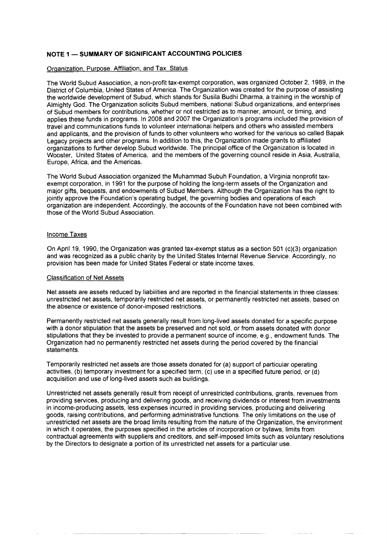#### **NOTE 1 - SUMMARY OF SIGNIFICANT ACCOUNTING POLICIES**

#### Organization, Purpose. Affiliation, and Tax Status

The World Subud Association, a non-profit tax-exempt corporation, was organized October 2, 1989, in the District of Columbia, United States of America. The Organization was created for the purpose of assisting the worldwide development of Subud, which stands for Susila Budhi Dharma, a training in the worship of Almighty God. The Organization solicits Subud members, national Subud organizations, and enterprises of Subud members for contributions, whether or not restricted as to manner, amount, or timing, and applies these funds in programs. In 2008 and 2007 the Organization's programs included the provision of travel and communications funds to volunteer international helpers and others who assisted members and applicants, and the provision of funds to other volunteers who worked for the various so called Bapak Legacy projects and other programs. In addition to this, the Organization made grants to affiliated organizations to further develop Subud worldwide. The principal office of the Organization is located in Wooster, United States of America, and the members of the governing council reside in Asia, Australia, Europe, Africa, and the Americas.

The World Subud Association organized the Muhammad Subuh Foundation, a Virginia nonprofit taxexempt corporation, in 1991 for the purpose of holding the long-term assets of the Organization and major gifts, bequests, and endowments of Subud Members. Although the Organization has the right to jointly approve the Foundation's operating budget, the governing bodies and operations of each organization are independent. Accordingly, the accounts of the Foundation have not been combined with those of the World Subud Association.

#### Income Taxes

On April 19, 1990, the Organization was granted tax-exempt status as a section 501 (c)(3) organization and was recognized as a public charity by the United States Internal Revenue Service. Accordingly, no provision has been made for United States Federal or state income taxes.

#### Classification of Net Assets

Net assets are assets reduced by liabilities and are reported in the financial statements in three classes: unrestricted net assets, temporarily restricted net assets, or permanently restricted net assets, based on the absence or existence of donor-imposed restrictions.

Permanently restricted net assets generally result from long-lived assets donated for a specific purpose with a donor stipulation that the assets be preserved and not sold, or trom assets donated with donor stipulations that they be invested to provide a permanent source of income, e.g., endowment funds. The Organization had no permanently restricted net assets during the period covered by the tinancial statements.

Temporarily restricted net assets are those assets donated for (a) support of particular operating activities, (b) temporary investment tor a specified term, (c) use in a specified future period, or (d) acquisition and use of long-lived assets such as buildings.

Unrestricted net assets generally result from receipt of unrestricted contributions, grants, revenues from providing services, producing and delivering goods, and receiving dividends or interest from investments in income-producing assets, less expenses incurred in providing services, producing and delivering goods, raising contributions, and performing administrative functions. The only limitations on the use of unrestricted net assets are the broad limits resulting trom the nature of the Organization, the environment in which it operates, the purposes specified in the articles of incorporation or bylaws, limits from contractual agreements with suppliers and creditors, and self-imposed limits such as voluntary resolutions by the Directors to designate a portion of its unrestricted net assets for a particular use.

and the company company of the con-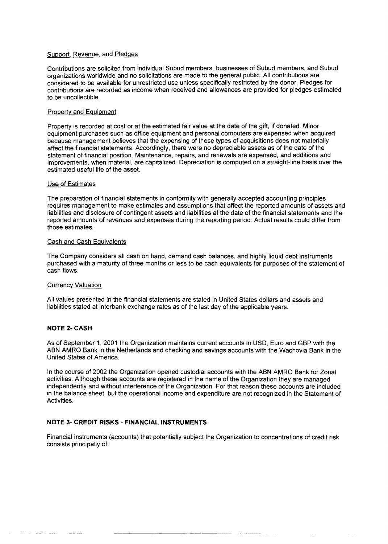#### Support. Revenue, and Pledges

Contributions are solicited from individual Subud members, businesses of Subud members, and Subud organizations worldwide and no solicitations are made to the general public. All contributions are considered to be available for unrestricted use unless specifically restricted by the donor. Pledges for contributions are recorded as income when received and allowances are provided for pledges estimated to be uncollectible.

#### Property and Eguipment

Property is recorded at cost or at the estimated fair value at the date of the gift, if donated. Minor equipment purchases such as office equipment and personal computers are expensed when acquired because management believes that the expensing of these types of acquisitions does not materially affect the financial statements. Accordingly, there were no depreciable assets as of the date of the statement of financial position. Maintenance, repairs, and renewals are expensed, and additions and improvements, when material, are capitalized. Oepreciation is computed on a straight-line basis over the estimated useful life of the asset.

#### Use of Estimates

The preparation of financial statements in conformity with generally accepted accounting principles requires management to make estimates and assumptions that affect the reported amounts of assets and liabilities and disclosure of contingent assets and liabilities at the date of the financial statements and the reported amounts of revenues and expenses during the reporting period. Actual results could differ from those estimates.

#### Cash and Cash Eguivalents

The Company considers all cash on hand, demand cash balances, and highly liquid debt instruments purchased with a maturity of three months or less to be cash equivalents for purposes of the statement of cash flows.

#### Currency Valuation

All values presented in the financial statements are stated in United States dollars and assets and liabilities stated at interbank exchange rates as of the last day of the applicable years.

#### **NOTE 2-CASH**

As of September 1,2001 the Organization maintains current accounts in USO, Euro and GBP with the ABN AMRO Bank in the Netherlands and checking and savings accounts with the Wachovia Bank in the United States of America.

In the course of 2002 the Organization opened custodial accounts with the ABN AMRO Bank for Zonal activities. Although these accounts are registered in the name of the Organization they are managed independently and without interference of the Organization. For that reason these accounts are included in the balance sheet, but the operational income and expenditure are not recognized in the Statement of Activities.

#### **NOTE 3- CREDIT RISKS - FINANClAL INSTRUMENTS**

Financial instruments (accounts) that potentially subject the Organization to concentrations of credit risk consists principally of: